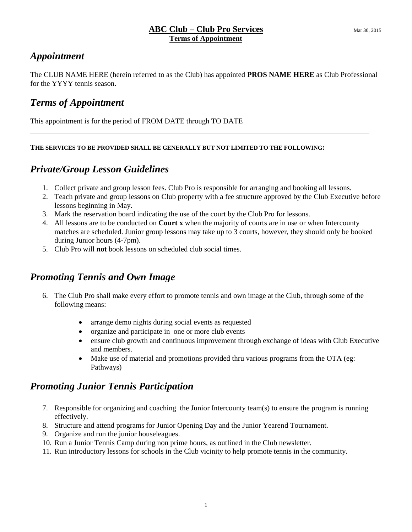# *Appointment*

The CLUB NAME HERE (herein referred to as the Club) has appointed **PROS NAME HERE** as Club Professional for the YYYY tennis season.

## *Terms of Appointment*

This appointment is for the period of FROM DATE through TO DATE

#### **THE SERVICES TO BE PROVIDED SHALL BE GENERALLY BUT NOT LIMITED TO THE FOLLOWING:**

## *Private/Group Lesson Guidelines*

- 1. Collect private and group lesson fees. Club Pro is responsible for arranging and booking all lessons.
- 2. Teach private and group lessons on Club property with a fee structure approved by the Club Executive before lessons beginning in May.
- 3. Mark the reservation board indicating the use of the court by the Club Pro for lessons.
- 4. All lessons are to be conducted on **Court x** when the majority of courts are in use or when Intercounty matches are scheduled. Junior group lessons may take up to 3 courts, however, they should only be booked during Junior hours (4-7pm).
- 5. Club Pro will **not** book lessons on scheduled club social times.

## *Promoting Tennis and Own Image*

- 6. The Club Pro shall make every effort to promote tennis and own image at the Club, through some of the following means:
	- arrange demo nights during social events as requested
	- organize and participate in one or more club events
	- ensure club growth and continuous improvement through exchange of ideas with Club Executive and members.
	- Make use of material and promotions provided thru various programs from the OTA (eg: Pathways)

## *Promoting Junior Tennis Participation*

- 7. Responsible for organizing and coaching the Junior Intercounty team(s) to ensure the program is running effectively.
- 8. Structure and attend programs for Junior Opening Day and the Junior Yearend Tournament.
- 9. Organize and run the junior houseleagues.
- 10. Run a Junior Tennis Camp during non prime hours, as outlined in the Club newsletter.
- 11. Run introductory lessons for schools in the Club vicinity to help promote tennis in the community.